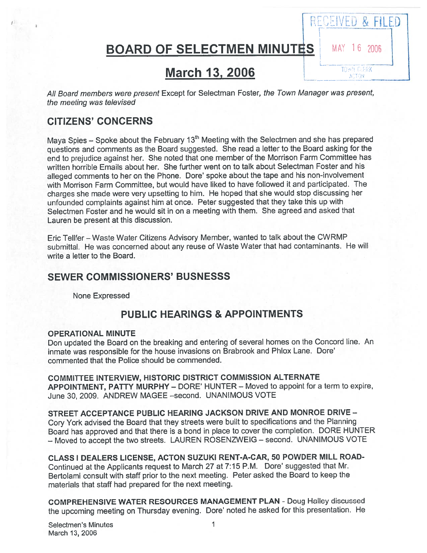BOARD OF SELECTMEN MINUTES MAY 16 2006

RECEIVED & FILED

TOWN CLERK **ACTOM** 

C

# **March 13, 2006**

All Board members were presen<sup>t</sup> Except for Selectman Foster, the Town Manager was present, the meeting was televised

# CITIZENS' CONCERNS

Maya Spies – Spoke about the February 13<sup>th</sup> Meeting with the Selectmen and she has prepared questions and comments as the Board suggested. She read <sup>a</sup> letter to the Board asking for the end to prejudice against her. She noted that one member of the Morrison Farm Committee has written horrible Emails about her. She further went on to talk about Selectman Foster and his alleged comments to her on the Phone. Dore' spoke about the tape and his non-involvement with Morrison Farm Committee, but would have liked to have followed it and participated. The charges she made were very upsetting to him. He hoped that she would stop discussing her unfounded complaints against him at once. Peter suggested that they take this up with Selectmen Foster and he would sit in on <sup>a</sup> meeting with them. She agreed and asked that Lauren be presen<sup>t</sup> at this discussion.

Eric Telifer — Waste Water Citizens Advisory Member, wanted to talk about the CWRMP submittal. He was concerned about any reuse of Waste Water that had contaminants. He will write <sup>a</sup> letter to the Board.

## SEWER COMMISSIONERS' BUSNESSS

None Expressed

# PUBLIC HEARINGS & APPOINTMENTS

#### OPERATIONAL MINUTE

Don updated the Board on the breaking and entering of several homes on the Concord line. An inmate was responsible for the house invasions on Brabrook and Phlox Lane. Dore' commented that the Police should be commended.

COMMITTEE INTERVIEW, HISTORIC DISTRICT COMMISSION ALTERNATE APPOINTMENT, PATTY MURPHY — DORE' HUNTER — Moved to appoint for <sup>a</sup> term to expire, June 30, 2009. ANDREW MAGEE —second. UNANIMOUS VOTE

STREET ACCEPTANCE PUBLIC HEARING JACKSON DRIVE AND MONROE DRIVE -Cory York advised the Board that they streets were built to specifications and the Planning Board has approve<sup>d</sup> and that there is <sup>a</sup> bond in <sup>p</sup>lace to cover the completion. DORE HUNTER — Moved to accep<sup>t</sup> the two streets. LAUREN ROSENZWEJG — second. UNANIMOUS VOTE

CLASS I DEALERS LICENSE, ACTON SUZUKI RENT-A-CAR, 50 POWDER MILL ROAD-Continued at the Applicants reques<sup>t</sup> to March <sup>27</sup> at 7:15 P.M. Dore' suggested that Mr. Bertolami consult with staff prior to the next meeting. Peter asked the Board to keep the materials that staff had prepared for the next meeting.

COMPREHENSIVE WATER RESOURCES MANAGEMENT PLAN - Doug Halley discussed the upcoming meeting on Thursday evening. Dore' noted he asked for this presentation. He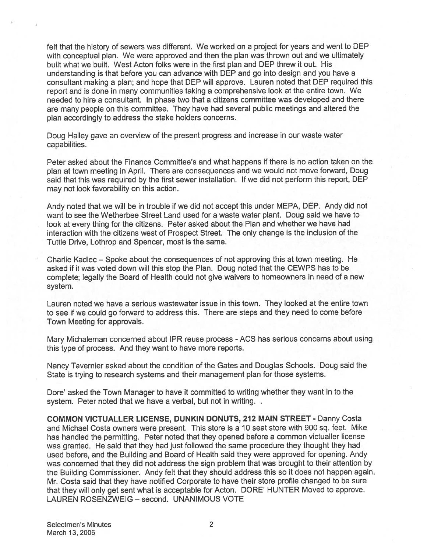felt that the history of sewers was different. We worked on <sup>a</sup> project for years and went to DEP with conceptual <sup>p</sup>lan. We were approved and then the <sup>p</sup>lan was thrown out and we ultimately built what we built. West Acton folks were in the first plan and DEP threw it out. His understanding is that before you can advance with DEP and go into design and you have <sup>a</sup> consultant making <sup>a</sup> plan; and hope that DEP will approve. Lauren noted that DEP required this repor<sup>t</sup> and is done in many communities taking <sup>a</sup> comprehensive look at the entire town. We needed to hire <sup>a</sup> consultant. In phase two that <sup>a</sup> citizens committee was developed and there are many people on this committee. They have had several public meetings and altered the plan accordingly to address the stake holders concerns.

Doug Halley gave an overview of the presen<sup>t</sup> progress and increase in our waste water capabilities.

Peter asked about the Finance Committee's and what happens if there is no action taken on the plan at town meeting in April. There are consequences and we would not move forward, Doug said that this was required by the first sewer installation. If we did not perform this report, DEP may not look favorability on this action.

Andy noted that we will be in trouble if we did not accep<sup>t</sup> this under MEPA, DEP. Andy did not want to see the Wetherbee Street Land used for <sup>a</sup> waste water plant. Doug said we have to look at every thing for the citizens. Peter asked about the Plan and whether we have had interaction with the citizens west of Prospect Street. The only change is the inclusion of the Tuttle Drive, Lothrop and Spencer, most is the same.

Charlie Kadlec — Spoke about the consequences of not approving this at town meeting. He asked if it was voted down will this stop the Plan. Doug noted that the CEWPS has to be complete; legally the Board of Health could not give waivers to homeowners in need of <sup>a</sup> new system.

Lauren noted we have <sup>a</sup> serious wastewater issue in this town. They looked at the entire town to see if we could go forward to address this. There are steps and they need to come before Town Meeting for approvals.

Mary Michaleman concerned about IPR reuse process - ACS has serious concerns about using this type of process. And they want to have more reports.

Nancy Tavernier asked about the condition of the Gates and Douglas Schools. Doug said the State is trying to research systems and their managemen<sup>t</sup> plan for those systems.

Dore' asked the Town Manager to have it committed to writing whether they want in to the system. Peter noted that we have a verbal, but not in writing. .

**COMMON VICTUALLER LICENSE, DUNKIN DONUTS, 212 MAIN STREET - Danny Costa** and Michael Costa owners were present. This store is <sup>a</sup> 10 seat store with 900 sq. feet. Mike has handled the permitting. Peter noted that they opened before <sup>a</sup> common victualler license was granted. He said that they had just followed the same procedure they thought they had used before, and the Building and Board of Health said they were approved for opening. Andy was concerned that they did not address the sign problem that was brought to their attention by the Building Commissioner. Andy felt that they should address this so it does not happen again. Mr. Costa said that they have notified Corporate to have their store profile changed to be sure that they will only ge<sup>t</sup> sent what is acceptable for Acton. DORE' HUNTER Moved to approve. LAUREN ROSENZWEIG — second. UNANIMOUS VOTE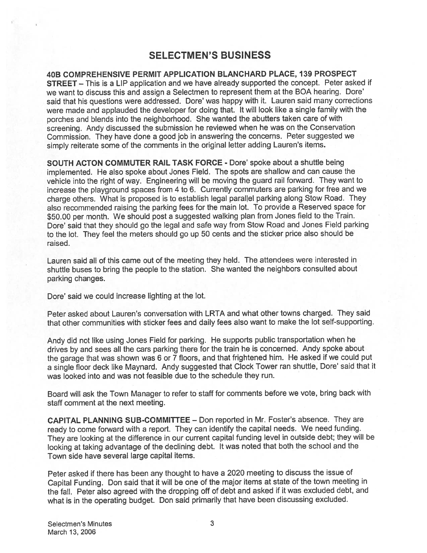# SELECTMEN'S BUSINESS

40B COMPREHENSIVE PERMIT APPLICATION BLANCHARD PLACE, 139 PROSPECT STREET — This is <sup>a</sup> LIP application and we have already supported the concept. Peter asked if we want to discuss this and assign <sup>a</sup> Selectmen to represen<sup>t</sup> them at the BOA hearing. Dote' said that his questions were addressed. Dore' was happy with it. Lauren said many corrections were made and applauded the developer for doing that. It will look like <sup>a</sup> single family with the porches and blends into the neighborhood. She wanted the abutters taken care of with screening. Andy discussed the submission he reviewed when he was on the Conservation Commission. They have done <sup>a</sup> good job in answering the concerns. Peter suggested we simply reiterate some of the comments in the original letter adding Lauren's items.

SOUTH ACTON COMMUTER RAIL TASK FORCE - Dore' spoke about <sup>a</sup> shuttle being implemented. He also spoke about Jones Field. The spots are shallow and can cause the vehicle into the right of way. Engineering will be moving the guar<sup>d</sup> rail forward. They want to increase the <sup>p</sup>layground spaces from <sup>4</sup> to 6. Currently commuters are parking for free and we charge others. What is propose<sup>d</sup> is to establish legal parallel parking along Stow Road. They also recommended raising the parking fees for the main lot. To provide <sup>a</sup> Reserved space for \$50.00 per month. We should pos<sup>t</sup> <sup>a</sup> suggested walking <sup>p</sup>lan from Jones field to the Train. Dote' said that they should go the legal and safe way from Stow Road and Jones Field parking to the lot. They feel the meters should go up <sup>50</sup> cents and the sticker price also should be raised.

Lauren said all of this came out of the meeting they held. The attendees were interested in shuttle buses to bring the people to the station. She wanted the neighbors consulted about parking changes.

Dore' said we could increase lighting at the lot.

Peter asked about Lauren's conversation with LRTA and what other towns charged. They said that other communities with sticker fees and daily fees also want to make the lot self-supporting.

Andy did not like using Jones Field for parking. He supports public transportation when he drives by and sees all the cars parking there for the train he is concerned. Andy spoke about the garage that was shown was <sup>6</sup> or <sup>7</sup> floors, and that frightened him. He asked if we could pu<sup>t</sup> <sup>a</sup> single floor deck like Maynard. Andy suggested that Clock Tower ran shuttle, Dore' said that it was looked into and was not feasible due to the schedule they run.

Board will ask the Town Manager to refer to staff for comments before we vote, bring back with staff comment at the next meeting.

CAPITAL PLANNING SUE-COMMITTEE — Don reported in Mr. Foster's absence. They are ready to come forward with <sup>a</sup> report. They can identify the capital needs. We need funding. They are looking at the difference in our current capital funding level in outside debt; they will be looking at taking advantage of the declining debt. It was noted that both the school and the Town side have several large capital items.

Peter asked if there has been any thought to have <sup>a</sup> <sup>2020</sup> meeting to discuss the issue of Capital Funding. Don said that it will be one of the major items at state of the town meeting in the fall. Peter also agree<sup>d</sup> with the dropping off of debt and asked if it was excluded debt, and what is in the operating budget. Don said primarily that have been discussing excluded.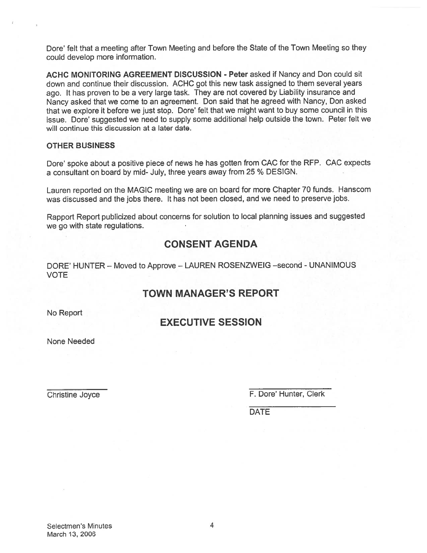Dore' felt that <sup>a</sup> meeting after Town Meeting and before the State of the Town Meeting so they could develop more information.

ACHC MONITORING AGREEMENT DISCUSSION - Peter asked if Nancy and Don could sit down and continue their discussion. ACHC go<sup>t</sup> this new task assigned to them several years ago. It has proven to be a very large task. They are not covered by Liability insurance and Nancy asked that we come to an agreement. Don said that he agree<sup>d</sup> with Nancy, Don asked that we explore it before we just stop. Dore' felt that we might want to buy some council in this issue. Dore' suggested we need to supply some additional help outside the town. Peter felt we will continue this discussion at a later date.

#### OTHER BUSINESS

Dore' spoke about <sup>a</sup> positive <sup>p</sup>iece of news he has gotten from CAC for the REP. CAC expects <sup>a</sup> consultant on board by mid- July, three years away from 25 % DESIGN.

Lauren reported on the MAGIC meeting we are on board for more Chapter <sup>70</sup> funds. Hanscom was discussed and the jobs there. It has not been closed, and we need to preserve jobs.

Rapport Report publicized about concerns for solution to local <sup>p</sup>lanning issues and suggested we go with state regulations.

# CONSENT AGENDA

DORE' HUNTER — Moved to Approve — LAUREN ROSENZWEIG —second - UNANIMOUS VOTE

# TOWN MANAGER'S REPORT

No Report

# EXECUTIVE SESSION

None Needed

Christine Joyce **F. Dore' Hunter, Clerk** 

DATE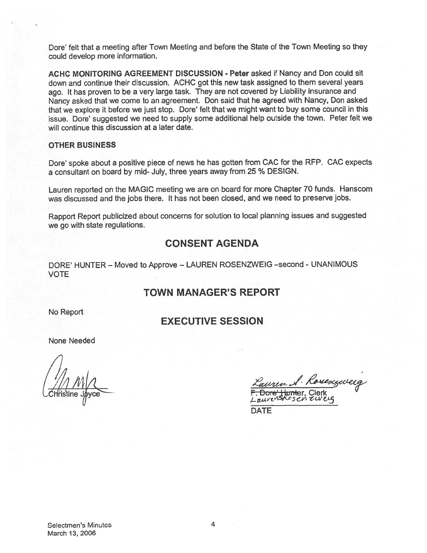Dote' felt that <sup>a</sup> meeting after Town Meeting and before the State of the Town Meeting so they could develop more information.

ACHC MONITORING AGREEMENT DISCUSSION - Peter asked if Nancy and Don could sit down and continue their discussion. ACHC go<sup>t</sup> this new task assigned to them several years ago. It has proven to be a very large task. They are not covered by Liability insurance and Nancy asked that we come to an agreement. Don said that he agree<sup>d</sup> with Nancy, Don asked that we explore it before we just stop. Dore' felt that we might want to buy some council in this issue. Dore' suggested we need to supply some additional help outside the town. Peter felt we will continue this discussion at a later date.

#### OTHER BUSINESS

Dore' spoke about <sup>a</sup> positive <sup>p</sup>iece of news he has gotten from CAC for the RFP. CAC expects a consultant on board by mid- July, three years away from 25 % DESIGN.

Lauren reported on the MAGIC meeting we are on board for more Chapter <sup>70</sup> funds. Hanscom was discussed and the jobs there. It has not been closed, and we need to preserve jobs.

Rapport Report publicized about concerns for solution to local <sup>p</sup>lanning issues and suggested we go with state regulations.

## CONSENT AGENDA

DORE' HUNTER — Moved to Approve — LAUREN ROSENZWEIG —second - UNANIMOUS VOTE

## TOWN MANAGER'S REPORT

No Report

## EXECUTIVE SESSION

None Needed

 $17/11$  M/ $\alpha$ 

1. Rosenzweig o<del>re't lymt</del>er, Clerk<br>*renskesen ew* 

DATE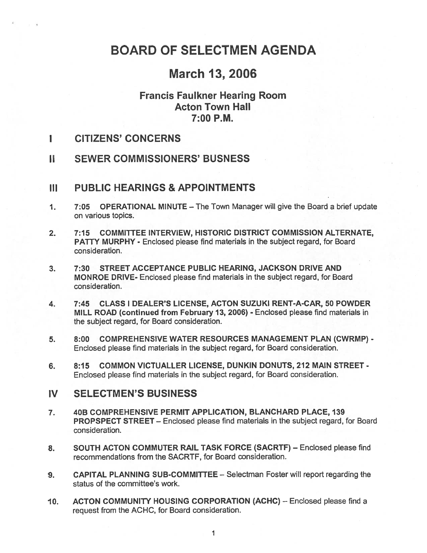# BOARD OF SELECTMEN AGENDA

# March 13, 2006

# Francis Faulkner Hearing Room Acton Town Hall 7:00 P.M.

- $\blacksquare$ CITIZENS' CONCERNS
- II SEWER COMMISSIONERS' BUSNESS

## III PUBLIC HEARINGS & APPOINTMENTS

- 1. 7:05 OPERATIONAL MINUTE The Town Manager will give the Board <sup>a</sup> brief update on various topics.
- 2. 7:15 COMMITTEE INTERVIEW, HISTORIC DISTRICT COMMISSION ALTERNATE, PATTY MURPHY - Enclosed please find materials in the subject regard, for Board consideration.
- 3. 7:30 STREET ACCEPTANCE PUBLIC HEARING, JACKSON DRIVE AND MONROE DRIVE- Enclosed please find materials in the subject regard, for Board consideration.
- 4. 7:45 CLASS I DEALER'S LICENSE, ACTON SUZUKI RENT-A-CAR, 50 POWDER MILL ROAD (continued from February 13, 2006) - Enclosed please find materials in the subject regard, for Board consideration.
- 5. 8:00 COMPREHENSIVE WATER RESOURCES MANAGEMENT PLAN (CWRMP) -Enclosed please find materials in the subject regard, for Board consideration.
- 6. 8:15 COMMON VICTUALLER LICENSE, DUNKIN DONUTS, 212 MAIN STREET Enclosed please find materials in the subject regard, for Board consideration.

## IV SELECTMEN'S BUSINESS

- 7. 40B COMPREHENSIVE PERMIT APPLICATION, BLANCHARD PLACE, 139 PROPSPECT STREET — Enclosed please find materials in the subject regard, for Board consideration.
- 8. SOUTH ACTON COMMUTER RAIL TASK FORCE (SACRTF) Enclosed please find recommendations from the SACRTF, for Board consideration.
- 9. CAPITAL PLANNING SUB-COMMITTEE Selectman Foster will repor<sup>t</sup> regarding the status of the committee's work.
- 10. ACTON COMMUNITY HOUSING CORPORATION (ACHC) Enclosed please find a reques<sup>t</sup> from the ACHC, for Board consideration.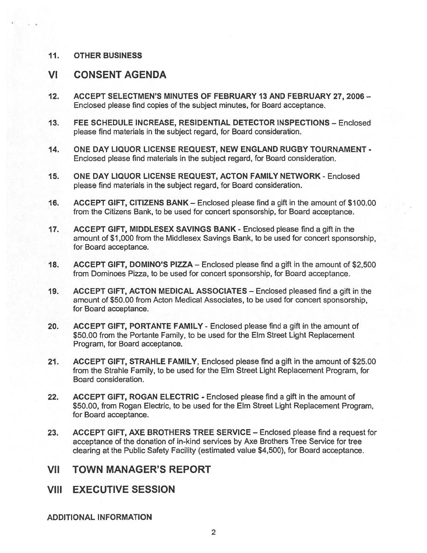### 11. OTHER BUSINESS

# VI CONSENT AGENDA

- 12. ACCEPT SELECTMEN'S MINUTES OF FEBRUARY 13 AND FEBRUARY 27, 2006 Enclosed please find copies of the subject minutes, for Board acceptance.
- 13. FEE SCHEDULE INCREASE, RESIDENTIAL DETECTOR INSPECTIONS Enclosed please find materials in the subject regard, for Board consideration.
- 14. ONE DAY LIQUOR LICENSE REQUEST, NEW ENGLAND RUGBY TOURNAMENT Enclosed please find materials in the subject regard, for Board consideration.
- 15. ONE DAY LIQUOR LICENSE REQUEST, ACTON FAMILY NETWORK Enclosed please find materials in the subject regard, for Board consideration.
- 16. ACCEPT GIFT, CITIZENS BANK Enclosed please find <sup>a</sup> gift in the amount of \$100.00 from the Citizens Bank, to be used for concert sponsorship, for Board acceptance.
- 17. ACCEPT GIFT, MIDDLESEX SAVINGS BANK Enclosed please find <sup>a</sup> gift in the amount of \$1,000 from the Middlesex Savings Bank, to be used for concert sponsorship, for Board acceptance.
- 18. ACCEPT GIFT, DOMINO'S PIZZA Enclosed please find <sup>a</sup> gift in the amount of \$2,500 from Dominoes Pizza, to be used for concert sponsorship, for Board acceptance.
- 19. ACCEPT GIFT, ACTON MEDICAL ASSOCIATES Enclosed pleased find <sup>a</sup> gift in the amount of \$50.00 from Acton Medical Associates, to be used for concert sponsorship, for Board acceptance.
- 20. ACCEPT GIFT, PORTANTE FAMILY Enclosed please find a gift in the amount of \$50.00 from the Portante Family, to be used for the Elm Street Light Replacement Program, for Board acceptance.
- 21. ACCEPT GIFT, STRAHLE FAMILY, Enclosed please find <sup>a</sup> gift in the amount of \$25.00 from the Strahle Family, to be used for the Elm Street Light Replacement Program, for Board consideration.
- 22. ACCEPT GIFT, ROGAN ELECTRIC Enclosed please find <sup>a</sup> gift in the amount of \$50.00, from Rogan Electric, to be used for the Elm Street Light Replacement Program, for Board acceptance.
- 23. ACCEPT GIFT, AXE BROTHERS TREE SERVICE Enclosed please find <sup>a</sup> reques<sup>t</sup> for acceptance of the donation of in-kind services by Axe Brothers Tree Service for tree clearing at the Public Safety Facility (estimated value \$4,500), for Board acceptance.

# VII TOWN MANAGER'S REPORT

VIII EXECUTIVE SESSION

ADDITIONAL INFORMATION